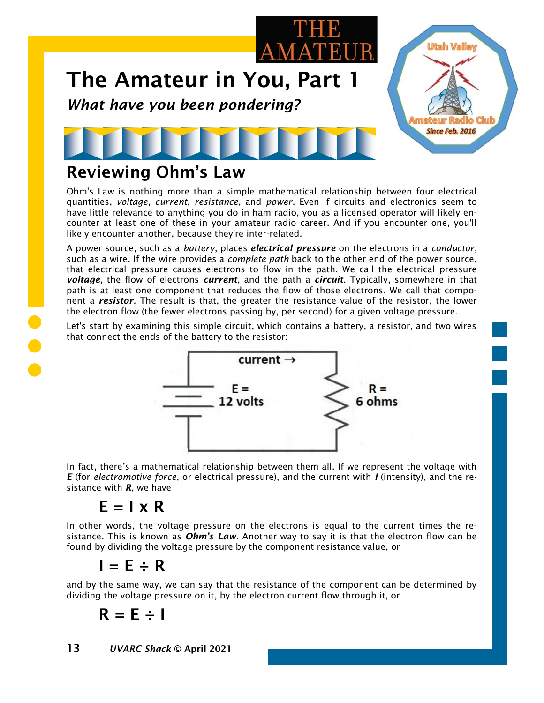

### Reviewing Ohm's Law

Ohm's Law is nothing more than a simple mathematical relationship between four electrical quantities, *voltage*, *current*, *resistance*, and *power*. Even if circuits and electronics seem to have little relevance to anything you do in ham radio, you as a licensed operator will likely encounter at least one of these in your amateur radio career. And if you encounter one, you'll likely encounter another, because they're inter-related.

A power source, such as a *battery*, places *electrical pressure* on the electrons in a *conductor*, such as a wire. If the wire provides a *complete path* back to the other end of the power source, that electrical pressure causes electrons to flow in the path. We call the electrical pressure *voltage*, the flow of electrons *current*, and the path a *circuit*. Typically, somewhere in that path is at least one component that reduces the flow of those electrons. We call that component a *resistor*. The result is that, the greater the resistance value of the resistor, the lower the electron flow (the fewer electrons passing by, per second) for a given voltage pressure.

Let's start by examining this simple circuit, which contains a battery, a resistor, and two wires that connect the ends of the battery to the resistor:



In fact, there's a mathematical relationship between them all. If we represent the voltage with *E* (for *electromotive force*, or electrical pressure), and the current with *I* (intensity), and the resistance with *R*, we have

#### $E = I \times R$

In other words, the voltage pressure on the electrons is equal to the current times the resistance. This is known as *Ohm's Law*. Another way to say it is that the electron flow can be found by dividing the voltage pressure by the component resistance value, or

 $I = E \div R$ 

and by the same way, we can say that the resistance of the component can be determined by dividing the voltage pressure on it, by the electron current flow through it, or

$$
\mathsf{R}=\mathsf{E}\div\mathsf{I}
$$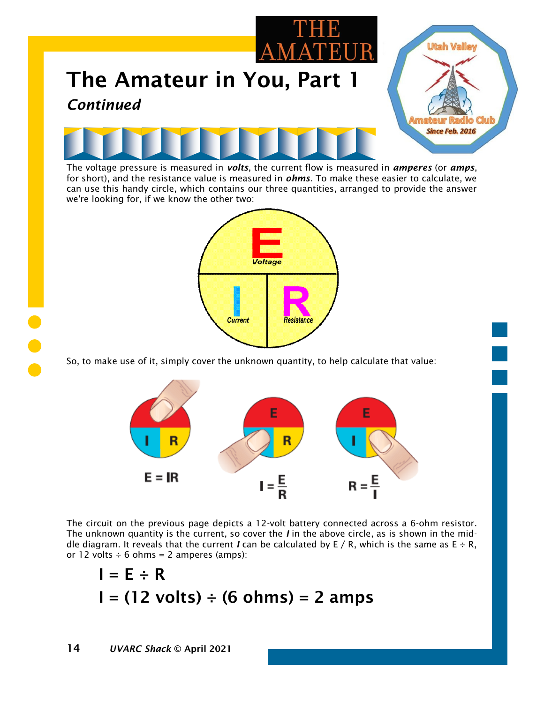

The voltage pressure is measured in *volts*, the current flow is measured in *amperes* (or *amps*, for short), and the resistance value is measured in *ohms*. To make these easier to calculate, we can use this handy circle, which contains our three quantities, arranged to provide the answer we're looking for, if we know the other two:



So, to make use of it, simply cover the unknown quantity, to help calculate that value:



The circuit on the previous page depicts a 12-volt battery connected across a 6-ohm resistor. The unknown quantity is the current, so cover the *I* in the above circle, as is shown in the middle diagram. It reveals that the current *I* can be calculated by E / R, which is the same as  $E \div R$ , or 12 volts  $\div$  6 ohms = 2 amperes (amps):

$$
I = E \div R
$$
  
I = (12 volts) ÷ (6 ohms) = 2 amps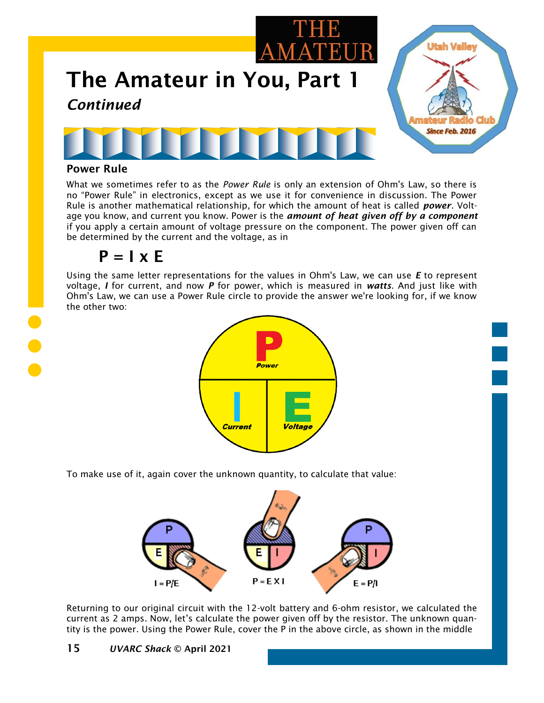

#### Power Rule

What we sometimes refer to as the *Power Rule* is only an extension of Ohm's Law, so there is no "Power Rule" in electronics, except as we use it for convenience in discussion. The Power Rule is another mathematical relationship, for which the amount of heat is called *power*. Voltage you know, and current you know. Power is the *amount of heat given off by a component* if you apply a certain amount of voltage pressure on the component. The power given off can be determined by the current and the voltage, as in

#### $P = I \times E$

Using the same letter representations for the values in Ohm's Law, we can use *E* to represent voltage, *I* for current, and now *P* for power, which is measured in *watts*. And just like with Ohm's Law, we can use a Power Rule circle to provide the answer we're looking for, if we know the other two:



To make use of it, again cover the unknown quantity, to calculate that value:



Returning to our original circuit with the 12-volt battery and 6-ohm resistor, we calculated the current as 2 amps. Now, let's calculate the power given off by the resistor. The unknown quantity is the power. Using the Power Rule, cover the P in the above circle, as shown in the middle